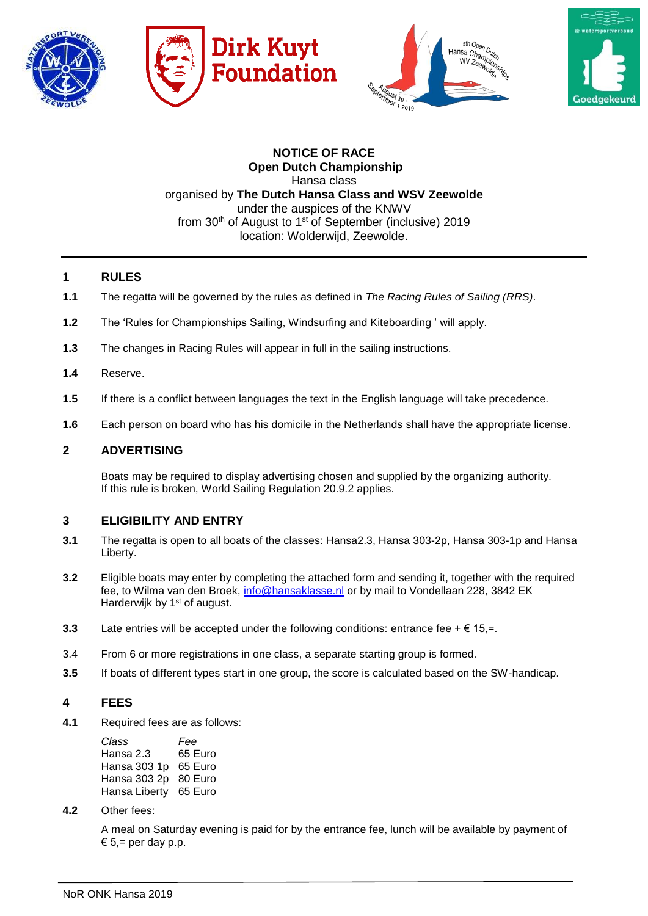







**NOTICE OF RACE Open Dutch Championship** Hansa class organised by **The Dutch Hansa Class and WSV Zeewolde** under the auspices of the KNWV from 30<sup>th</sup> of August to 1<sup>st</sup> of September (inclusive) 2019 location: Wolderwijd, Zeewolde.

# **1 RULES**

- **1.1** The regatta will be governed by the rules as defined in *The Racing Rules of Sailing (RRS)*.
- **1.2** The 'Rules for Championships Sailing, Windsurfing and Kiteboarding ' will apply.
- **1.3** The changes in Racing Rules will appear in full in the sailing instructions.
- **1.4** Reserve.
- **1.5** If there is a conflict between languages the text in the English language will take precedence.
- **1.6** Each person on board who has his domicile in the Netherlands shall have the appropriate license.

# **2 ADVERTISING**

Boats may be required to display advertising chosen and supplied by the organizing authority. If this rule is broken, World Sailing Regulation 20.9.2 applies.

# **3 ELIGIBILITY AND ENTRY**

- **3.1** The regatta is open to all boats of the classes: Hansa2.3, Hansa 303-2p, Hansa 303-1p and Hansa Liberty.
- **3.2** Eligible boats may enter by completing the attached form and sending it, together with the required fee, to Wilma van den Broek, [info@hansaklasse.nl](mailto:info@hansaklasse.nl) or by mail to Vondellaan 228, 3842 EK Harderwijk by 1<sup>st</sup> of august.
- **3.3** Late entries will be accepted under the following conditions: entrance fee  $+ \epsilon$  15,=.
- 3.4 From 6 or more registrations in one class, a separate starting group is formed.
- **3.5** If boats of different types start in one group, the score is calculated based on the SW-handicap.

### **4 FEES**

**4.1** Required fees are as follows:

| Class                 | Fee     |
|-----------------------|---------|
| Hansa 2.3             | 65 Euro |
| Hansa 303 1p 65 Euro  |         |
| Hansa 303 2p 80 Euro  |         |
| Hansa Liberty 65 Euro |         |

**4.2** Other fees:

A meal on Saturday evening is paid for by the entrance fee, lunch will be available by payment of  $\epsilon$  5,= per day p.p.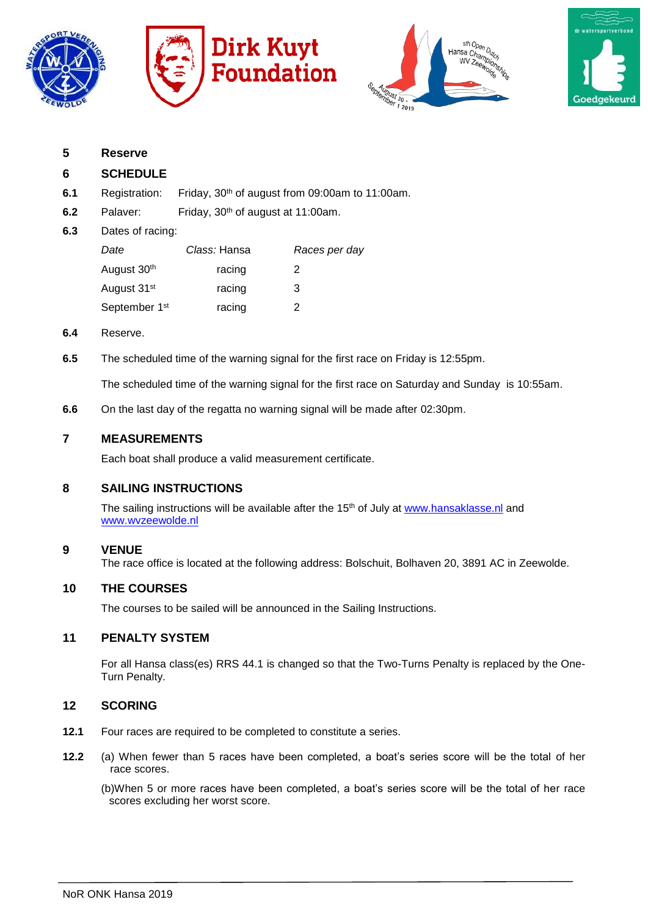







| 6.  | <b>SCHEDULE</b>  |                                                |                                                                           |
|-----|------------------|------------------------------------------------|---------------------------------------------------------------------------|
| 6.1 |                  |                                                | Registration: Friday, 30 <sup>th</sup> of august from 09:00am to 11:00am. |
| 6.2 | Palaver:         | Friday, 30 <sup>th</sup> of august at 11:00am. |                                                                           |
| 6.3 | Dates of racing: |                                                |                                                                           |
|     | Date             | Class: Hansa                                   | Races ner dav                                                             |

| Date                      | Class: Hansa | Races per day |
|---------------------------|--------------|---------------|
| August 30th               | racing       | 2             |
| August 31 <sup>st</sup>   | racing       | З             |
| September 1 <sup>st</sup> | racing       |               |

**6.4** Reserve.

**5 Reserve**

**6.5** The scheduled time of the warning signal for the first race on Friday is 12:55pm.

The scheduled time of the warning signal for the first race on Saturday and Sunday is 10:55am.

**6.6** On the last day of the regatta no warning signal will be made after 02:30pm.

### **7 MEASUREMENTS**

Each boat shall produce a valid measurement certificate.

# **8 SAILING INSTRUCTIONS**

The sailing instructions will be available after the 15<sup>th</sup> of July at [www.hansaklasse.nl](http://www.hansaklasse.nl/) and [www.wvzeewolde.nl](http://www.wvzeewolde.nl/)

### **9 VENUE**

The race office is located at the following address: Bolschuit, Bolhaven 20, 3891 AC in Zeewolde.

# **10 THE COURSES**

The courses to be sailed will be announced in the Sailing Instructions.

# **11 PENALTY SYSTEM**

For all Hansa class(es) RRS 44.1 is changed so that the Two-Turns Penalty is replaced by the One-Turn Penalty.

### **12 SCORING**

- **12.1** Four races are required to be completed to constitute a series.
- **12.2** (a) When fewer than 5 races have been completed, a boat's series score will be the total of her race scores.

(b)When 5 or more races have been completed, a boat's series score will be the total of her race scores excluding her worst score.